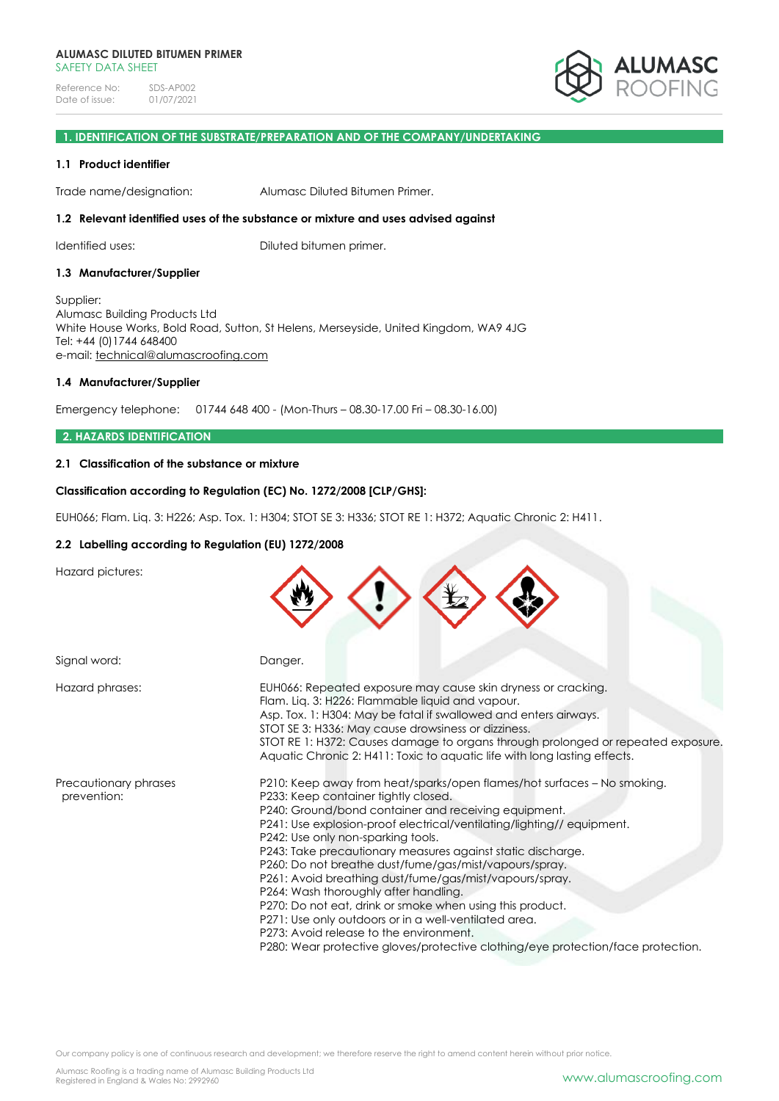Reference No: SDS-AP002<br>Date of issue: 01/07/2021 Date of issue:



# **1. IDENTIFICATION OF THE SUBSTRATE/PREPARATION AND OF THE COMPANY/UNDERTAKING**

## **1.1 Product identifier**

Trade name/designation: Alumasc Diluted Bitumen Primer.

## **1.2 Relevant identified uses of the substance or mixture and uses advised against**

Identified uses: Diluted bitumen primer.

## **1.3 Manufacturer/Supplier**

Supplier: Alumasc Building Products Ltd White House Works, Bold Road, Sutton, St Helens, Merseyside, United Kingdom, WA9 4JG Tel: +44 (0)1744 648400 e-mail: [technical@alumascroofing.com](mailto:technical@alumascroofing.com)

## **1.4 Manufacturer/Supplier**

Emergency telephone: 01744 648 400 - (Mon-Thurs – 08.30-17.00 Fri – 08.30-16.00)

## **2. HAZARDS IDENTIFICATION**

# **2.1 Classification of the substance or mixture**

## **Classification according to Regulation (EC) No. 1272/2008 [CLP/GHS]:**

EUH066; Flam. Liq. 3: H226; Asp. Tox. 1: H304; STOT SE 3: H336; STOT RE 1: H372; Aquatic Chronic 2: H411.

## **2.2 Labelling according to Regulation (EU) 1272/2008**

Hazard pictures:

|                                      | 7                                                                                                                                                                                                                                                                                                                                                                                                                                                                                                                                                                                                                                                                                                                                                                         |
|--------------------------------------|---------------------------------------------------------------------------------------------------------------------------------------------------------------------------------------------------------------------------------------------------------------------------------------------------------------------------------------------------------------------------------------------------------------------------------------------------------------------------------------------------------------------------------------------------------------------------------------------------------------------------------------------------------------------------------------------------------------------------------------------------------------------------|
| Signal word:                         | Danger.                                                                                                                                                                                                                                                                                                                                                                                                                                                                                                                                                                                                                                                                                                                                                                   |
| Hazard phrases:                      | EUH066: Repeated exposure may cause skin dryness or cracking.<br>Flam. Lig. 3: H226: Flammable liquid and vapour.<br>Asp. Tox. 1: H304: May be fatal if swallowed and enters airways.<br>STOT SE 3: H336: May cause drowsiness or dizziness.<br>STOT RE 1: H372: Causes damage to organs through prolonged or repeated exposure.<br>Aquatic Chronic 2: H411: Toxic to aquatic life with long lasting effects.                                                                                                                                                                                                                                                                                                                                                             |
| Precautionary phrases<br>prevention: | P210: Keep away from heat/sparks/open flames/hot surfaces – No smoking.<br>P233: Keep container tightly closed.<br>P240: Ground/bond container and receiving equipment.<br>P241: Use explosion-proof electrical/ventilating/lighting// equipment.<br>P242: Use only non-sparking tools.<br>P243: Take precautionary measures against static discharge.<br>P260: Do not breathe dust/fume/gas/mist/vapours/spray.<br>P261: Avoid breathing dust/fume/gas/mist/vapours/spray.<br>P264: Wash thoroughly after handling.<br>P270: Do not eat, drink or smoke when using this product.<br>P271: Use only outdoors or in a well-ventilated area.<br>P273: Avoid release to the environment.<br>P280: Wear protective gloves/protective clothing/eye protection/face protection. |

 $\curvearrowright \curvearrowright \curvearrowright \curvearrowright$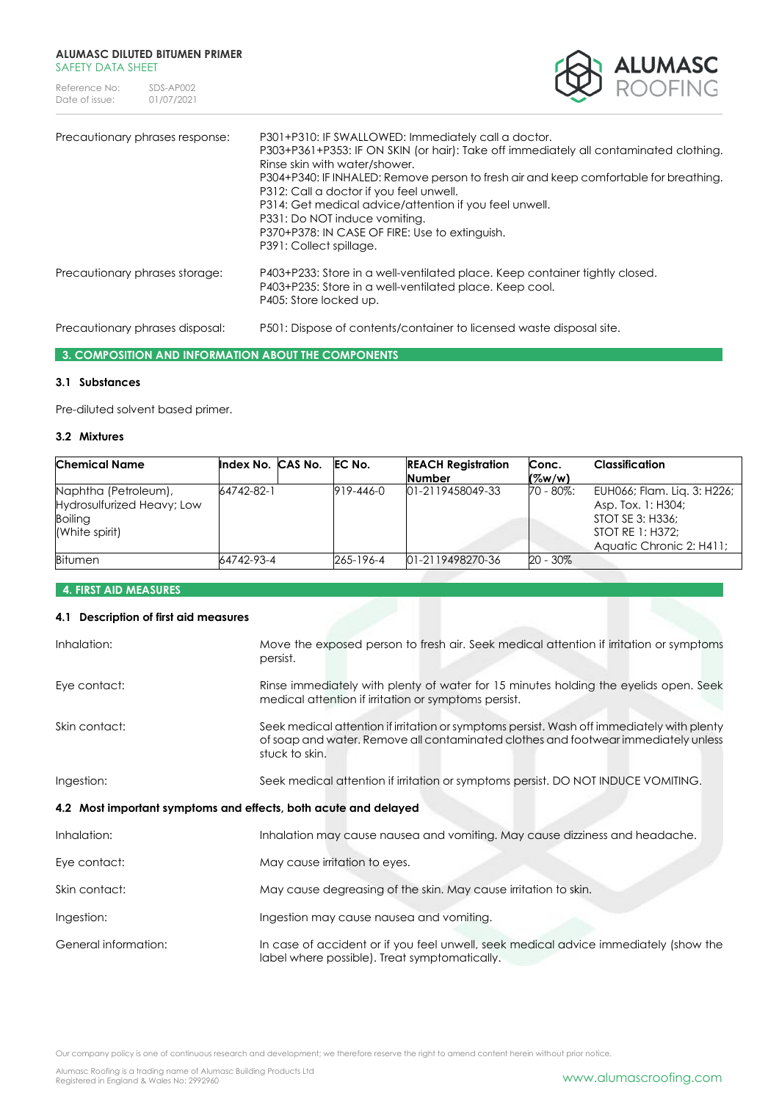Reference No: SDS-AP002<br>Date of issue: 01/07/2021 Date of issue:



| Precautionary phrases response: | P301+P310: IF SWALLOWED: Immediately call a doctor.<br>P303+P361+P353: IF ON SKIN (or hair): Take off immediately all contaminated clothing.<br>Rinse skin with water/shower.<br>P304+P340: IF INHALED: Remove person to fresh air and keep comfortable for breathing.<br>P312: Call a doctor if you feel unwell.<br>P314: Get medical advice/attention if you feel unwell.<br>P331: Do NOT induce vomiting.<br>P370+P378: IN CASE OF FIRE: Use to extinguish.<br>P391: Collect spillage. |
|---------------------------------|-------------------------------------------------------------------------------------------------------------------------------------------------------------------------------------------------------------------------------------------------------------------------------------------------------------------------------------------------------------------------------------------------------------------------------------------------------------------------------------------|
| Precautionary phrases storage:  | P403+P233: Store in a well-ventilated place. Keep container tightly closed.<br>P403+P235: Store in a well-ventilated place. Keep cool.<br>P405: Store locked up.                                                                                                                                                                                                                                                                                                                          |
| Precautionary phrases disposal: | P501: Dispose of contents/container to licensed waste disposal site.                                                                                                                                                                                                                                                                                                                                                                                                                      |

# **3. COMPOSITION AND INFORMATION ABOUT THE COMPONENTS**

# **3.1 Substances**

Pre-diluted solvent based primer.

# **3.2 Mixtures**

| <b>Chemical Name</b>                                                                   | Index No. CAS No. | EC No.    | <b>REACH Registration</b> | Conc.       | <b>Classification</b>                                                                                                 |
|----------------------------------------------------------------------------------------|-------------------|-----------|---------------------------|-------------|-----------------------------------------------------------------------------------------------------------------------|
|                                                                                        |                   |           | <b>Number</b>             | ( %w/w)     |                                                                                                                       |
| Naphtha (Petroleum),<br>Hydrosulfurized Heavy; Low<br><b>Boiling</b><br>(White spirit) | 64742-82-1        | 919-446-0 | 01-2119458049-33          | 70 - 80%:   | EUH066; Flam. Lig. 3: H226;<br>Asp. Tox. 1: H304;<br>STOT SE 3: H336;<br>STOT RE 1: H372:<br>Aquatic Chronic 2: H411; |
| <b>Bitumen</b>                                                                         | 64742-93-4        | 265-196-4 | 01-2119498270-36          | $20 - 30\%$ |                                                                                                                       |

# **4. FIRST AID MEASURES**

# **4.1 Description of first aid measures**

| Inhalation:          | Move the exposed person to fresh air. Seek medical attention if irritation or symptoms<br>persist.                                                                                                 |
|----------------------|----------------------------------------------------------------------------------------------------------------------------------------------------------------------------------------------------|
| Eye contact:         | Rinse immediately with plenty of water for 15 minutes holding the eyelids open. Seek<br>medical attention if irritation or symptoms persist.                                                       |
| Skin contact:        | Seek medical attention if irritation or symptoms persist. Wash off immediately with plenty<br>of soap and water. Remove all contaminated clothes and footwear immediately unless<br>stuck to skin. |
| Ingestion:           | Seek medical attention if irritation or symptoms persist. DO NOT INDUCE VOMITING.                                                                                                                  |
|                      | 4.2 Most important symptoms and effects, both acute and delayed                                                                                                                                    |
| Inhalation:          | Inhalation may cause nausea and vomiting. May cause dizziness and headache.                                                                                                                        |
| Eye contact:         | May cause irritation to eyes.                                                                                                                                                                      |
| Skin contact:        | May cause degreasing of the skin. May cause irritation to skin.                                                                                                                                    |
| Ingestion:           | Ingestion may cause nausea and vomiting.                                                                                                                                                           |
| General information: | In case of accident or if you feel unwell, seek medical advice immediately (show the<br>label where possible). Treat symptomatically.                                                              |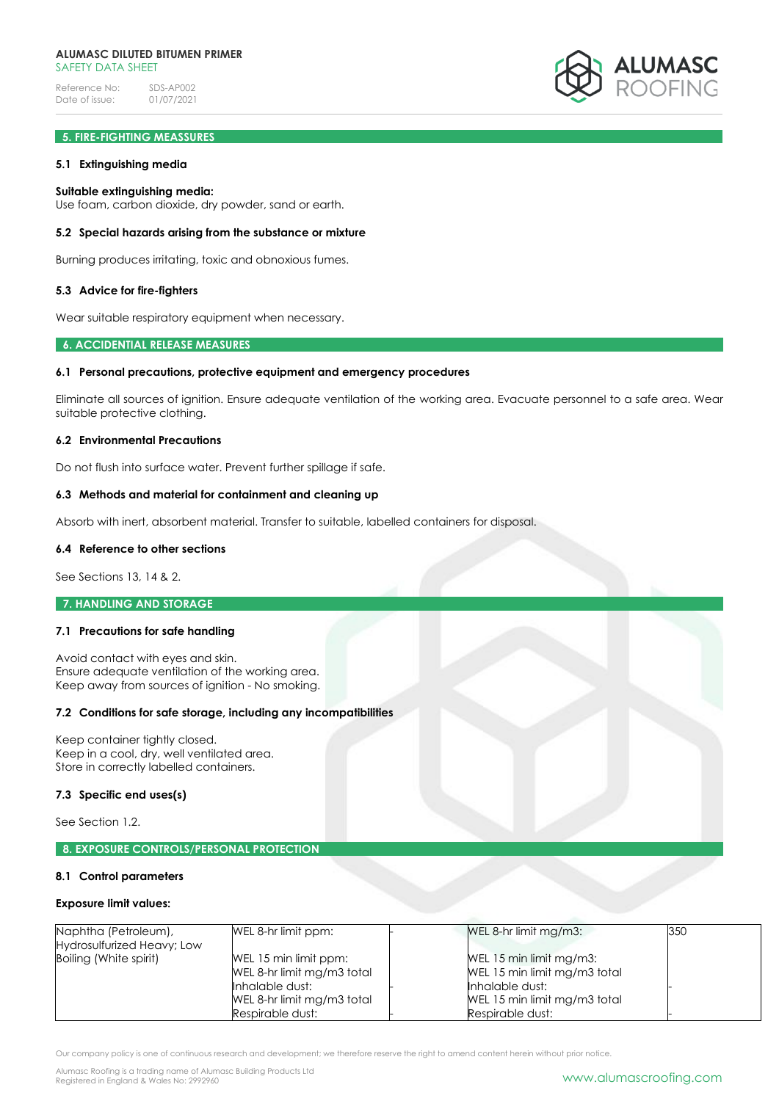Reference No: SDS-AP002<br>Date of issue: 01/07/2021 Date of issue:



# **5. FIRE-FIGHTING MEASSURES**

## **5.1 Extinguishing media**

## **Suitable extinguishing media:**

Use foam, carbon dioxide, dry powder, sand or earth.

## **5.2 Special hazards arising from the substance or mixture**

Burning produces irritating, toxic and obnoxious fumes.

## **5.3 Advice for fire-fighters**

Wear suitable respiratory equipment when necessary.

## **6. ACCIDENTIAL RELEASE MEASURES**

## **6.1 Personal precautions, protective equipment and emergency procedures**

Eliminate all sources of ignition. Ensure adequate ventilation of the working area. Evacuate personnel to a safe area. Wear suitable protective clothing.

## **6.2 Environmental Precautions**

Do not flush into surface water. Prevent further spillage if safe.

## **6.3 Methods and material for containment and cleaning up**

Absorb with inert, absorbent material. Transfer to suitable, labelled containers for disposal.

## **6.4 Reference to other sections**

See Sections 13, 14 & 2.

## **7. HANDLING AND STORAGE**

## **7.1 Precautions for safe handling**

Avoid contact with eyes and skin. Ensure adequate ventilation of the working area. Keep away from sources of ignition - No smoking.

### **7.2 Conditions for safe storage, including any incompatibilities**

Keep container tightly closed. Keep in a cool, dry, well ventilated area. Store in correctly labelled containers.

#### **7.3 Specific end uses(s)**

See Section 1.2.

## **8. EXPOSURE CONTROLS/PERSONAL PROTECTION**

#### **8.1 Control parameters**

#### **Exposure limit values:**

| Naphtha (Petroleum),<br>Hydrosulfurized Heavy; Low | WEL 8-hr limit ppm:                                                                                                      | WEL 8-hr limit mg/m3:                                                                                                          | 350 |
|----------------------------------------------------|--------------------------------------------------------------------------------------------------------------------------|--------------------------------------------------------------------------------------------------------------------------------|-----|
| Boiling (White spirit)                             | WEL 15 min limit ppm:<br>WEL 8-hr limit mg/m3 total<br>Inhalable dust:<br>WEL 8-hr limit mg/m3 total<br>Respirable dust: | WEL 15 min limit mg/m3:<br>WEL 15 min limit mg/m3 total<br>Inhalable dust:<br>WEL 15 min limit mg/m3 total<br>Respirable dust: |     |

Our company policy is one of continuous research and development; we therefore reserve the right to amend content herein without prior notice.

Alumasc Roofing is a trading name of Alumasc Building Products Ltd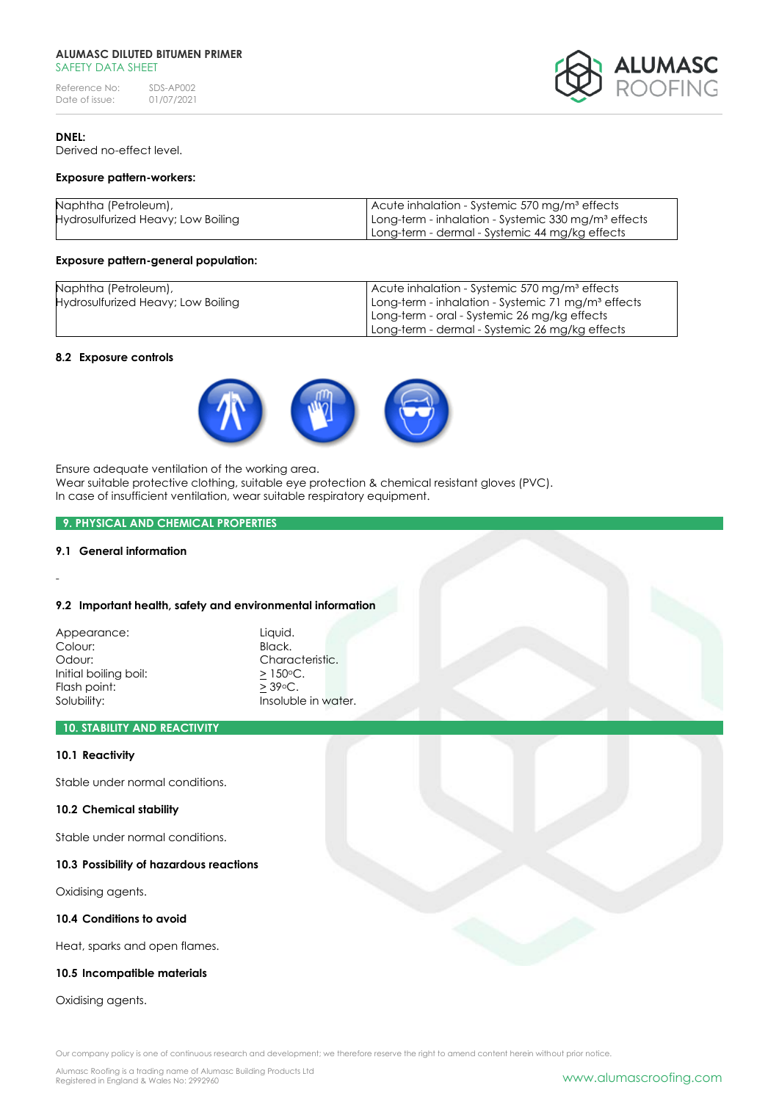Reference No: SDS-AP002<br>Date of issue: 01/07/2021 Date of issue:



# **DNEL:**

Derived no-effect level.

## **Exposure pattern-workers:**

| Naphtha (Petroleum),               | Acute inhalation - Systemic 570 mg/m <sup>3</sup> effects       |
|------------------------------------|-----------------------------------------------------------------|
| Hydrosulfurized Heavy; Low Boiling | Long-term - inhalation - Systemic 330 mg/m <sup>3</sup> effects |
|                                    | Long-term - dermal - Systemic 44 mg/kg effects                  |

## **Exposure pattern-general population:**

| Naphtha (Petroleum),               | Acute inhalation - Systemic 570 mg/m <sup>3</sup> effects      |
|------------------------------------|----------------------------------------------------------------|
| Hydrosulfurized Heavy; Low Boiling | Long-term - inhalation - Systemic 71 mg/m <sup>3</sup> effects |
|                                    | Long-term - oral - Systemic 26 mg/kg effects                   |
|                                    | Long-term - dermal - Systemic 26 mg/kg effects                 |

## **8.2 Exposure controls**



Ensure adequate ventilation of the working area.

Wear suitable protective clothing, suitable eye protection & chemical resistant gloves (PVC). In case of insufficient ventilation, wear suitable respiratory equipment.

# **9. PHYSICAL AND CHEMICAL PROPERTIES**

# **9.1 General information**

-

#### **9.2 Important health, safety and environmental information**

| Appearance:           |  |
|-----------------------|--|
| Colour:               |  |
| Odour:                |  |
| Initial boiling boil: |  |
| Flash point:          |  |
| Solubility:           |  |

Liauid. Black. Characteristic.  $\geq$  150 $\circ$ C.  $\geq$  39 $\circ$ C. Insoluble in water.

# **10. STABILITY AND REACTIVITY**

### **10.1 Reactivity**

Stable under normal conditions.

## **10.2 Chemical stability**

Stable under normal conditions.

# **10.3 Possibility of hazardous reactions**

Oxidising agents.

# **10.4 Conditions to avoid**

Heat, sparks and open flames.

# **10.5 Incompatible materials**

Oxidising agents.

Our company policy is one of continuous research and development; we therefore reserve the right to amend content herein without prior notice.

Alumasc Roofing is a trading name of Alumasc Building Products Ltd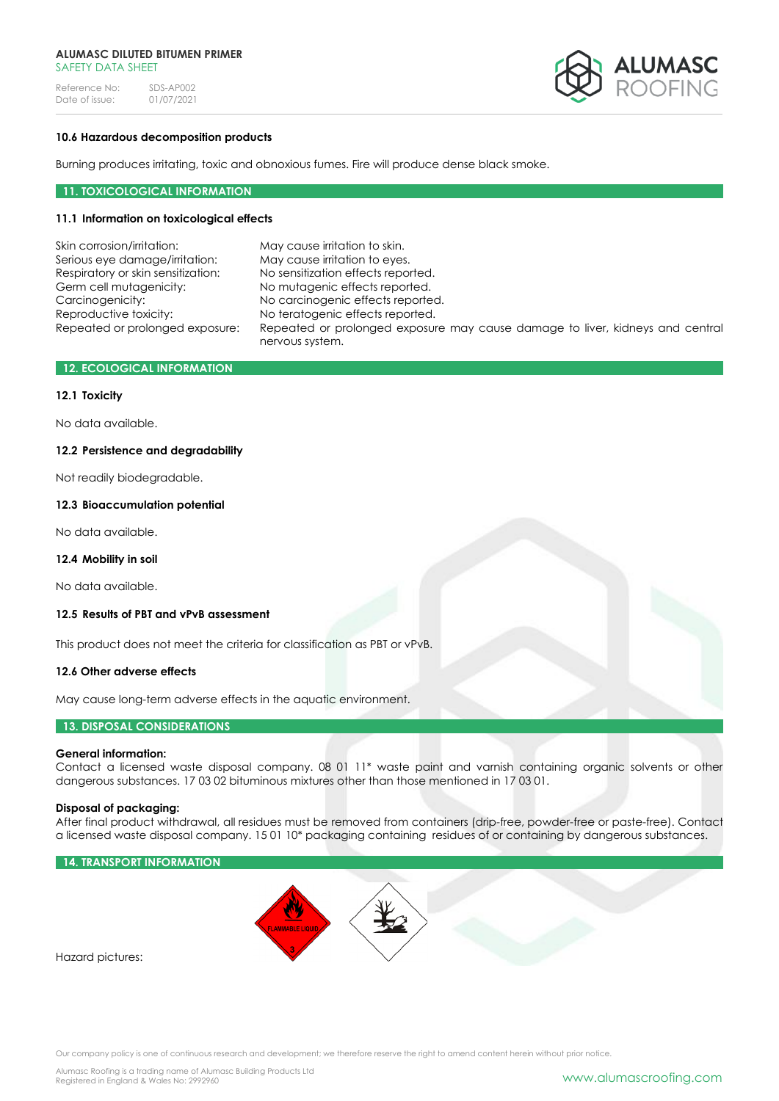Reference No: SDS-AP002<br>Date of issue: 01/07/2021 Date of issue:



# **10.6 Hazardous decomposition products**

Burning produces irritating, toxic and obnoxious fumes. Fire will produce dense black smoke.

# **11. TOXICOLOGICAL INFORMATION**

# **11.1 Information on toxicological effects**

| Skin corrosion/irritation:         | May cause irritation to skin.                                                                    |
|------------------------------------|--------------------------------------------------------------------------------------------------|
| Serious eye damage/irritation:     | May cause irritation to eyes.                                                                    |
| Respiratory or skin sensitization: | No sensitization effects reported.                                                               |
| Germ cell mutagenicity:            | No mutagenic effects reported.                                                                   |
| Carcinogenicity:                   | No carcinogenic effects reported.                                                                |
| Reproductive toxicity:             | No teratogenic effects reported.                                                                 |
| Repeated or prolonged exposure:    | Repeated or prolonged exposure may cause damage to liver, kidneys and central<br>nervous system. |
|                                    |                                                                                                  |

# **12. ECOLOGICAL INFORMATION**

## **12.1 Toxicity**

No data available.

## **12.2 Persistence and degradability**

Not readily biodegradable.

## **12.3 Bioaccumulation potential**

No data available.

# **12.4 Mobility in soil**

No data available.

# **12.5 Results of PBT and vPvB assessment**

This product does not meet the criteria for classification as PBT or vPvB.

## **12.6 Other adverse effects**

May cause long-term adverse effects in the aquatic environment.

# **13. DISPOSAL CONSIDERATIONS**

#### **General information:**

Contact a licensed waste disposal company. 08 01 11\* waste paint and varnish containing organic solvents or other dangerous substances. 17 03 02 bituminous mixtures other than those mentioned in 17 03 01.

## **Disposal of packaging:**

After final product withdrawal, all residues must be removed from containers (drip-free, powder-free or paste-free). Contact a licensed waste disposal company. 15 01 10\* packaging containing residues of or containing by dangerous substances.

# **14. TRANSPORT INFORMATION**



Hazard pictures: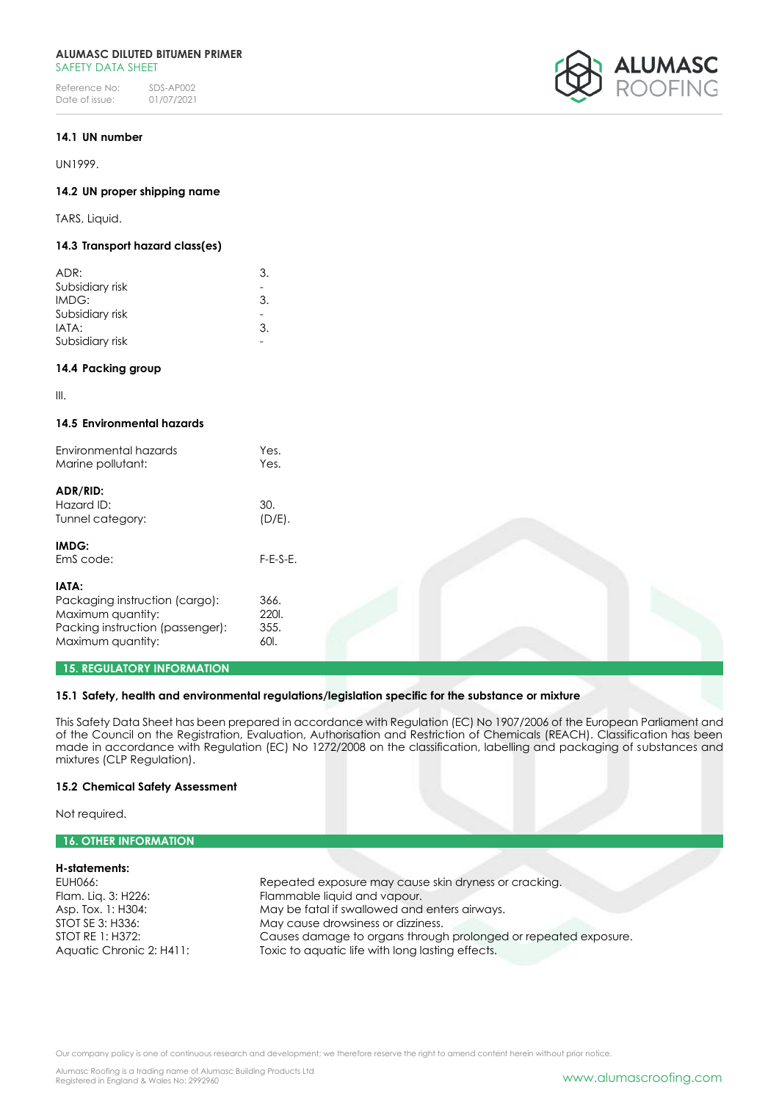Reference No: SDS-AP002<br>Date of issue: 01/07/2021 Date of issue:



## **14.1 UN number**

UN1999.

## **14.2 UN proper shipping name**

TARS, Liquid.

# **14.3 Transport hazard class(es)**

| ADR:            | 3.            |
|-----------------|---------------|
| Subsidiary risk |               |
| IMDG:           | 3.            |
| Subsidiary risk |               |
| IATA:           | $\mathcal{B}$ |
| Subsidiary risk |               |

## **14.4 Packing group**

III.

# **14.5 Environmental hazards**

| Environmental hazards<br>Marine pollutant: | Yes.<br>Yes. |  |
|--------------------------------------------|--------------|--|
| ADR/RID:<br>Hazard ID:                     | 30.          |  |
| Tunnel category:                           | $(D/E)$ .    |  |
| IMDG:                                      |              |  |
| EmS code:                                  | $F-E-S-E.$   |  |
| IATA:                                      |              |  |
| Packaging instruction (cargo):             | 366.         |  |
| Maximum quantity:                          | 2201.        |  |
| Packing instruction (passenger):           | 355.         |  |
| Maximum quantity:                          | 601.         |  |
| <b>15. REGULATORY INFORMATION</b>          |              |  |

## **15.1 Safety, health and environmental regulations/legislation specific for the substance or mixture**

This Safety Data Sheet has been prepared in accordance with Regulation (EC) No 1907/2006 of the European Parliament and of the Council on the Registration, Evaluation, Authorisation and Restriction of Chemicals (REACH). Classification has been made in accordance with Regulation (EC) No 1272/2008 on the classification, labelling and packaging of substances and mixtures (CLP Regulation).

#### **15.2 Chemical Safety Assessment**

Not required.

# **16. OTHER INFORMATION**

## **H-statements:** Repeated exposure may cause skin dryness or cracking. Flam. Liq. 3: H226: Flammable liquid and vapour. Asp. Tox. 1: H304: May be fatal if swallowed and enters airways. STOT SE 3: H336: May cause drowsiness or dizziness. STOT RE 1: H372: Causes damage to organs through prolonged or repeated exposure. Aquatic Chronic 2: H411: Toxic to aquatic life with long lasting effects.